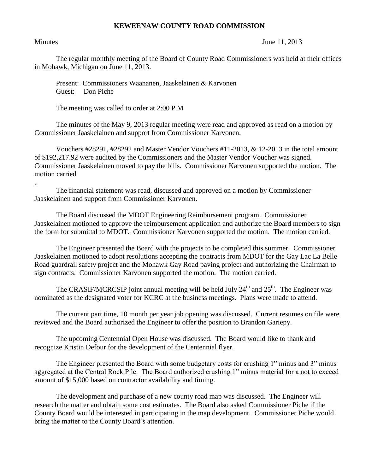## **KEWEENAW COUNTY ROAD COMMISSION**

.

Minutes June 11, 2013

The regular monthly meeting of the Board of County Road Commissioners was held at their offices in Mohawk, Michigan on June 11, 2013.

Present: Commissioners Waananen, Jaaskelainen & Karvonen Guest: Don Piche

The meeting was called to order at 2:00 P.M

The minutes of the May 9, 2013 regular meeting were read and approved as read on a motion by Commissioner Jaaskelainen and support from Commissioner Karvonen.

Vouchers #28291, #28292 and Master Vendor Vouchers #11-2013, & 12-2013 in the total amount of \$192,217.92 were audited by the Commissioners and the Master Vendor Voucher was signed. Commissioner Jaaskelainen moved to pay the bills. Commissioner Karvonen supported the motion. The motion carried

The financial statement was read, discussed and approved on a motion by Commissioner Jaaskelainen and support from Commissioner Karvonen.

The Board discussed the MDOT Engineering Reimbursement program. Commissioner Jaaskelainen motioned to approve the reimbursement application and authorize the Board members to sign the form for submittal to MDOT. Commissioner Karvonen supported the motion. The motion carried.

The Engineer presented the Board with the projects to be completed this summer. Commissioner Jaaskelainen motioned to adopt resolutions accepting the contracts from MDOT for the Gay Lac La Belle Road guardrail safety project and the Mohawk Gay Road paving project and authorizing the Chairman to sign contracts. Commissioner Karvonen supported the motion. The motion carried.

The CRASIF/MCRCSIP joint annual meeting will be held July  $24<sup>th</sup>$  and  $25<sup>th</sup>$ . The Engineer was nominated as the designated voter for KCRC at the business meetings. Plans were made to attend.

The current part time, 10 month per year job opening was discussed. Current resumes on file were reviewed and the Board authorized the Engineer to offer the position to Brandon Gariepy.

The upcoming Centennial Open House was discussed. The Board would like to thank and recognize Kristin Defour for the development of the Centennial flyer.

The Engineer presented the Board with some budgetary costs for crushing 1" minus and 3" minus aggregated at the Central Rock Pile. The Board authorized crushing 1" minus material for a not to exceed amount of \$15,000 based on contractor availability and timing.

The development and purchase of a new county road map was discussed. The Engineer will research the matter and obtain some cost estimates. The Board also asked Commissioner Piche if the County Board would be interested in participating in the map development. Commissioner Piche would bring the matter to the County Board's attention.